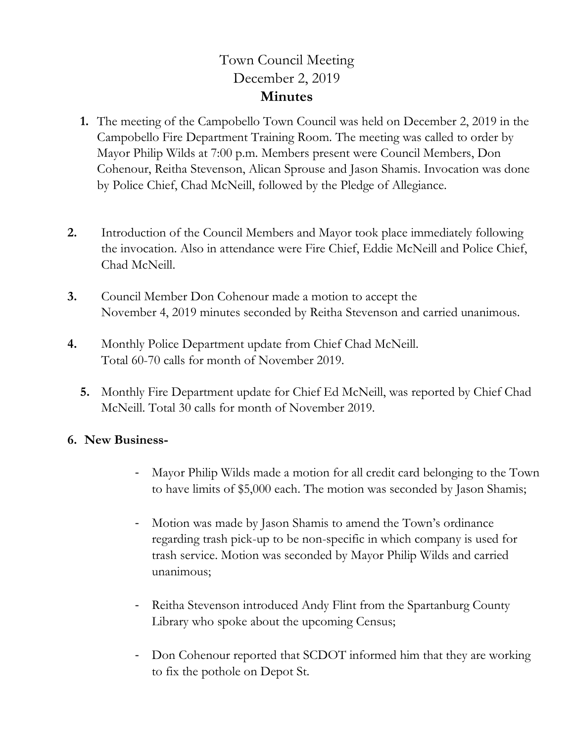## Town Council Meeting December 2, 2019 **Minutes**

- **1.** The meeting of the Campobello Town Council was held on December 2, 2019 in the Campobello Fire Department Training Room. The meeting was called to order by Mayor Philip Wilds at 7:00 p.m. Members present were Council Members, Don Cohenour, Reitha Stevenson, Alican Sprouse and Jason Shamis. Invocation was done by Police Chief, Chad McNeill, followed by the Pledge of Allegiance.
- **2.** Introduction of the Council Members and Mayor took place immediately following the invocation. Also in attendance were Fire Chief, Eddie McNeill and Police Chief, Chad McNeill.
- **3.** Council Member Don Cohenour made a motion to accept the November 4, 2019 minutes seconded by Reitha Stevenson and carried unanimous.
- **4.** Monthly Police Department update from Chief Chad McNeill. Total 60-70 calls for month of November 2019.
	- **5.** Monthly Fire Department update for Chief Ed McNeill, was reported by Chief Chad McNeill. Total 30 calls for month of November 2019.

## **6. New Business-**

- Mayor Philip Wilds made a motion for all credit card belonging to the Town to have limits of \$5,000 each. The motion was seconded by Jason Shamis;
- Motion was made by Jason Shamis to amend the Town's ordinance regarding trash pick-up to be non-specific in which company is used for trash service. Motion was seconded by Mayor Philip Wilds and carried unanimous;
- Reitha Stevenson introduced Andy Flint from the Spartanburg County Library who spoke about the upcoming Census;
- Don Cohenour reported that SCDOT informed him that they are working to fix the pothole on Depot St.